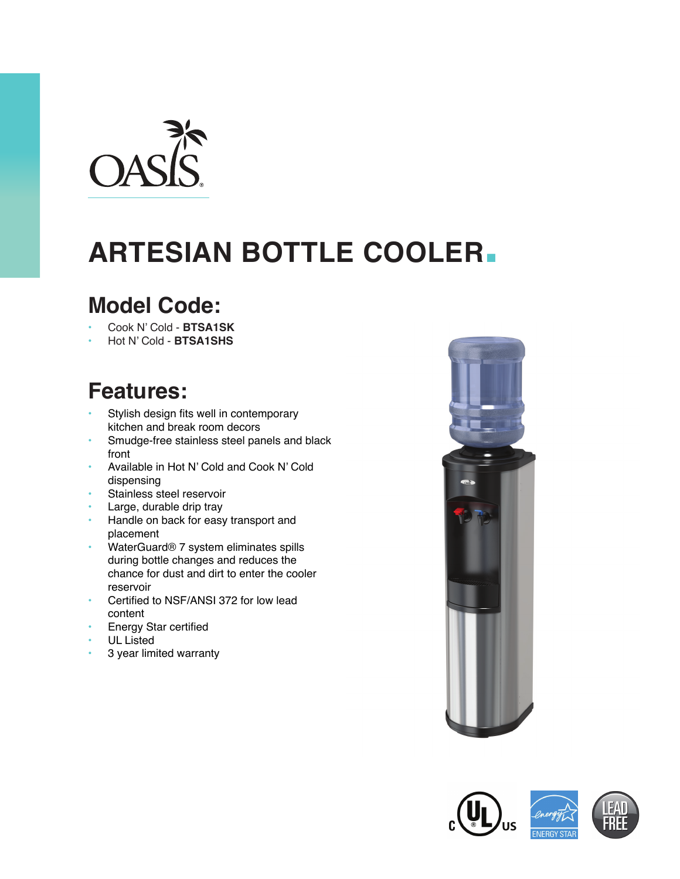

# **ARTESIAN BOTTLE COOLER.**

### **Model Code:**

- Cook N' Cold **BTSA1SK**
- Hot N' Cold **BTSA1SHS**

## **Features:**

- Stylish design fits well in contemporary kitchen and break room decors
- Smudge-free stainless steel panels and black front
- Available in Hot N' Cold and Cook N' Cold dispensing
- Stainless steel reservoir
- Large, durable drip tray
- Handle on back for easy transport and placement
- WaterGuard® 7 system eliminates spills during bottle changes and reduces the chance for dust and dirt to enter the cooler reservoir
- Certified to NSF/ANSI 372 for low lead content
- **Energy Star certified**
- UL Listed
- 3 year limited warranty